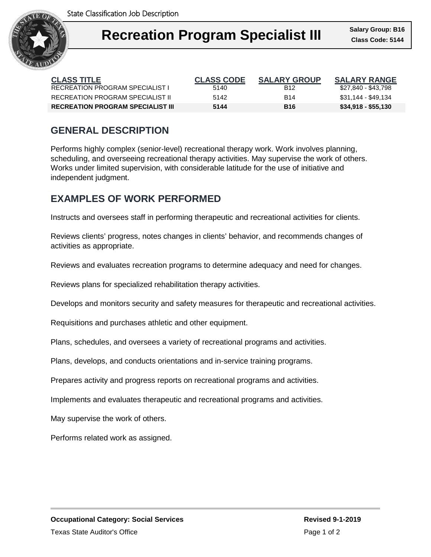

| <b>CLASS TITLE</b>                       | <b>CLASS CODE</b> | <b>SALARY GROUP</b> | <b>SALARY RANGE</b> |
|------------------------------------------|-------------------|---------------------|---------------------|
| RECREATION PROGRAM SPECIALIST L          | 5140              | B <sub>12</sub>     | \$27,840 - \$43,798 |
| RECREATION PROGRAM SPECIALIST II         | 5142              | <b>B14</b>          | \$31,144 - \$49,134 |
| <b>RECREATION PROGRAM SPECIALIST III</b> | 5144              | <b>B</b> 16         | $$34,918 - $55,130$ |

## **GENERAL DESCRIPTION**

Performs highly complex (senior-level) recreational therapy work. Work involves planning, scheduling, and overseeing recreational therapy activities. May supervise the work of others. Works under limited supervision, with considerable latitude for the use of initiative and independent judgment.

### **EXAMPLES OF WORK PERFORMED**

Instructs and oversees staff in performing therapeutic and recreational activities for clients.

Reviews clients' progress, notes changes in clients' behavior, and recommends changes of activities as appropriate.

Reviews and evaluates recreation programs to determine adequacy and need for changes.

Reviews plans for specialized rehabilitation therapy activities.

Develops and monitors security and safety measures for therapeutic and recreational activities.

Requisitions and purchases athletic and other equipment.

Plans, schedules, and oversees a variety of recreational programs and activities.

Plans, develops, and conducts orientations and in-service training programs.

Prepares activity and progress reports on recreational programs and activities.

Implements and evaluates therapeutic and recreational programs and activities.

May supervise the work of others.

Performs related work as assigned.